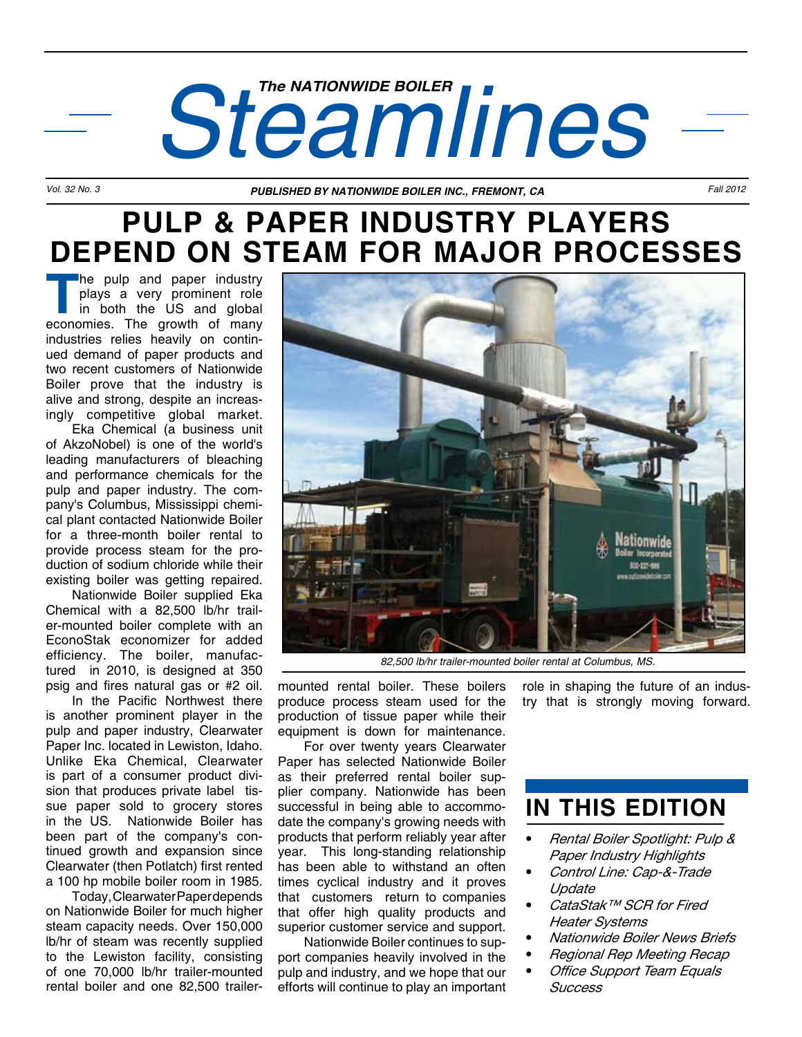# *Steamlines*

*Vol. 32 No. 3 PUBLISHED BY NATIONWIDE BOILER INC., FREMONT, CA Fall 2012*

## **PULP & PAPER INDUSTRY PLAYERS DEPEND ON STEAM FOR MAJOR PROCESSES**

**The pulp and paper industry<br>plays a very prominent role<br>in both the US and global<br>economies. The growth of many** plays a very prominent role in both the US and global economies. The growth of many industries relies heavily on continued demand of paper products and two recent customers of Nationwide Boiler prove that the industry is alive and strong, despite an increasingly competitive global market.

 Eka Chemical (a business unit of AkzoNobel) is one of the world's leading manufacturers of bleaching and performance chemicals for the pulp and paper industry. The company's Columbus, Mississippi chemical plant contacted Nationwide Boiler for a three-month boiler rental to provide process steam for the production of sodium chloride while their existing boiler was getting repaired.

 Nationwide Boiler supplied Eka Chemical with a 82,500 lb/hr trailer-mounted boiler complete with an EconoStak economizer for added efficiency. The boiler, manufactured in 2010, is designed at 350 psig and fires natural gas or #2 oil.

 In the Pacific Northwest there is another prominent player in the pulp and paper industry, Clearwater Paper Inc. located in Lewiston, Idaho. Unlike Eka Chemical, Clearwater is part of a consumer product division that produces private label tissue paper sold to grocery stores in the US. Nationwide Boiler has been part of the company's continued growth and expansion since Clearwater (then Potlatch) first rented a 100 hp mobile boiler room in 1985.

 Today, Clearwater Paper depends on Nationwide Boiler for much higher steam capacity needs. Over 150,000 lb/hr of steam was recently supplied to the Lewiston facility, consisting of one 70,000 lb/hr trailer-mounted rental boiler and one 82,500 trailer-



*82,500 lb/hr trailer-mounted boiler rental at Columbus, MS.*

mounted rental boiler. These boilers produce process steam used for the production of tissue paper while their equipment is down for maintenance.

 For over twenty years Clearwater Paper has selected Nationwide Boiler as their preferred rental boiler supplier company. Nationwide has been successful in being able to accommodate the company's growing needs with products that perform reliably year after year. This long-standing relationship has been able to withstand an often times cyclical industry and it proves that customers return to companies that offer high quality products and superior customer service and support.

 Nationwide Boiler continues to support companies heavily involved in the pulp and industry, and we hope that our efforts will continue to play an important

role in shaping the future of an industry that is strongly moving forward.

## **IN THIS EDITION**

- • Rental Boiler Spotlight: Pulp & Paper Industry Highlights
- Control Line: Cap-&-Trade Update
- CataStak™ SCR for Fired Heater Systems
- **Nationwide Boiler News Briefs**
- **Regional Rep Meeting Recap**
- **Office Support Team Equals** Success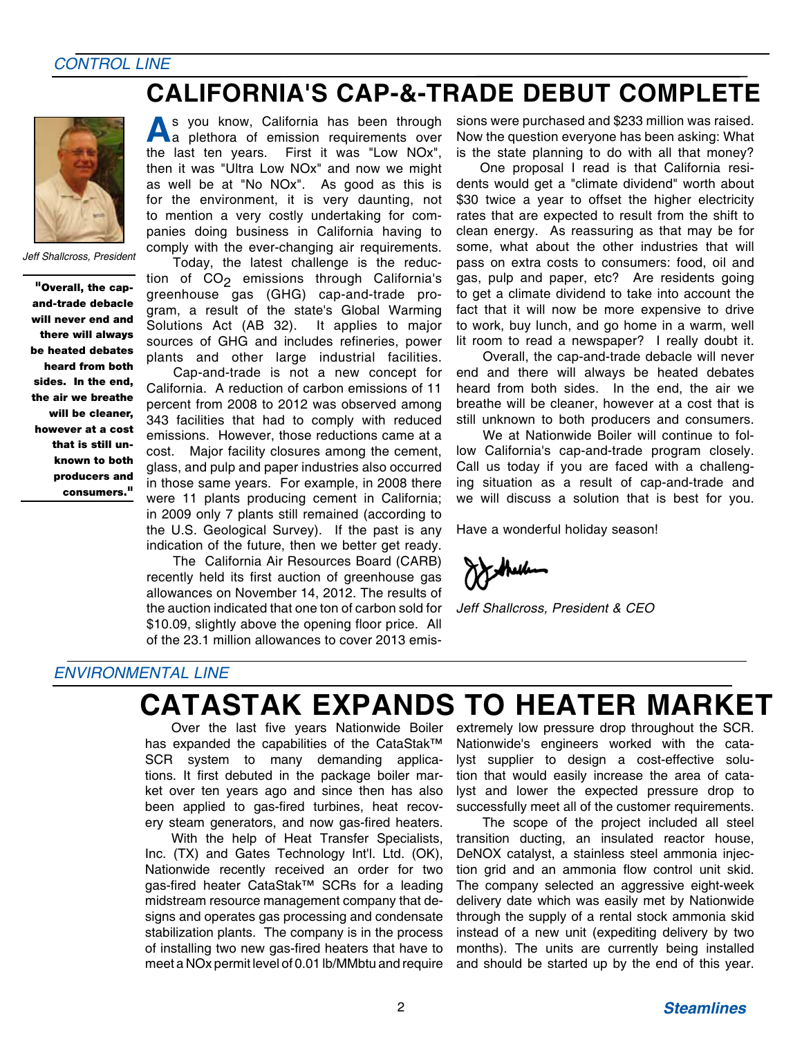#### *CONTROL LINE*

### **CALIFORNIA'S CAP-&-TRADE DEBUT COMPLETE**



*Jeff Shallcross, President*

"Overall, the capand-trade debacle will never end and there will always be heated debates heard from both sides. In the end, the air we breathe will be cleaner, however at a cost that is still unknown to both producers and consumers."

**A**s you know, California has been through a plethora of emission requirements over the last ten years. First it was "Low NOx", then it was "Ultra Low NOx" and now we might as well be at "No NOx". As good as this is for the environment, it is very daunting, not to mention a very costly undertaking for companies doing business in California having to comply with the ever-changing air requirements.

 Today, the latest challenge is the reduction of  $CO<sub>2</sub>$  emissions through California's greenhouse  $\overline{g}$ as (GHG) cap-and-trade program, a result of the state's Global Warming Solutions Act (AB 32). It applies to major sources of GHG and includes refineries, power plants and other large industrial facilities.

 Cap-and-trade is not a new concept for California. A reduction of carbon emissions of 11 percent from 2008 to 2012 was observed among 343 facilities that had to comply with reduced emissions. However, those reductions came at a cost. Major facility closures among the cement, glass, and pulp and paper industries also occurred in those same years. For example, in 2008 there were 11 plants producing cement in California; in 2009 only 7 plants still remained (according to the U.S. Geological Survey). If the past is any indication of the future, then we better get ready.

 The California Air Resources Board (CARB) recently held its first auction of greenhouse gas allowances on November 14, 2012. The results of the auction indicated that one ton of carbon sold for \$10.09, slightly above the opening floor price. All of the 23.1 million allowances to cover 2013 emissions were purchased and \$233 million was raised. Now the question everyone has been asking: What is the state planning to do with all that money?

One proposal I read is that California residents would get a "climate dividend" worth about \$30 twice a year to offset the higher electricity rates that are expected to result from the shift to clean energy. As reassuring as that may be for some, what about the other industries that will pass on extra costs to consumers: food, oil and gas, pulp and paper, etc? Are residents going to get a climate dividend to take into account the fact that it will now be more expensive to drive to work, buy lunch, and go home in a warm, well lit room to read a newspaper? I really doubt it.

 Overall, the cap-and-trade debacle will never end and there will always be heated debates heard from both sides. In the end, the air we breathe will be cleaner, however at a cost that is still unknown to both producers and consumers.

 We at Nationwide Boiler will continue to follow California's cap-and-trade program closely. Call us today if you are faced with a challenging situation as a result of cap-and-trade and we will discuss a solution that is best for you.

Have a wonderful holiday season!

*Jeff Shallcross, President & CEO*

#### *ENVIRONMENTAL LINE*

## **CATASTAK EXPANDS TO HEATER MARKET**

 Over the last five years Nationwide Boiler has expanded the capabilities of the CataStak™ SCR system to many demanding applications. It first debuted in the package boiler market over ten years ago and since then has also been applied to gas-fired turbines, heat recovery steam generators, and now gas-fired heaters.

 With the help of Heat Transfer Specialists, Inc. (TX) and Gates Technology Int'l. Ltd. (OK), Nationwide recently received an order for two gas-fired heater CataStak™ SCRs for a leading midstream resource management company that designs and operates gas processing and condensate stabilization plants. The company is in the process of installing two new gas-fired heaters that have to meet a NOx permit level of 0.01 lb/MMbtu and require extremely low pressure drop throughout the SCR. Nationwide's engineers worked with the catalyst supplier to design a cost-effective solution that would easily increase the area of catalyst and lower the expected pressure drop to successfully meet all of the customer requirements.

 The scope of the project included all steel transition ducting, an insulated reactor house, DeNOX catalyst, a stainless steel ammonia injection grid and an ammonia flow control unit skid. The company selected an aggressive eight-week delivery date which was easily met by Nationwide through the supply of a rental stock ammonia skid instead of a new unit (expediting delivery by two months). The units are currently being installed and should be started up by the end of this year.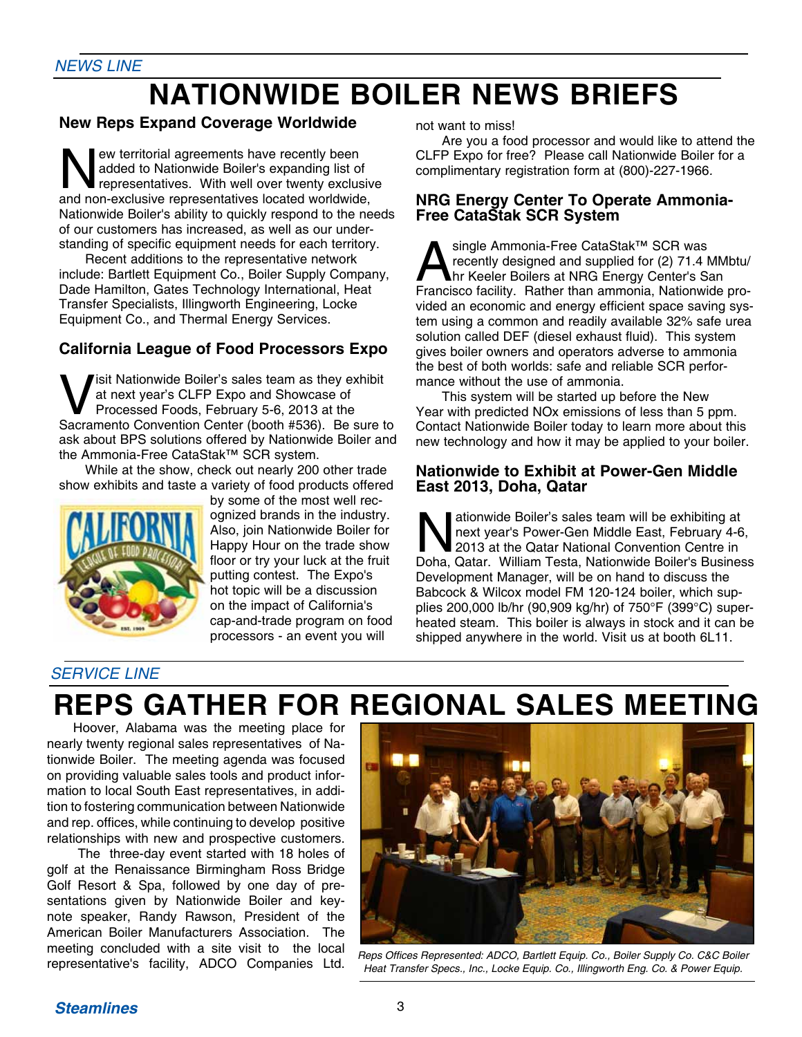# **NATIONWIDE BOILER NEWS BRIEFS**

#### **New Reps Expand Coverage Worldwide**

New territorial agreements have recently been<br>
added to Nationwide Boiler's expanding list of<br>
representatives. With well over twenty exclusive<br>
and non-exclusive representatives located worldwide added to Nationwide Boiler's expanding list of and non-exclusive representatives located worldwide, Nationwide Boiler's ability to quickly respond to the needs of our customers has increased, as well as our understanding of specific equipment needs for each territory.

 Recent additions to the representative network include: Bartlett Equipment Co., Boiler Supply Company, Dade Hamilton, Gates Technology International, Heat Transfer Specialists, Illingworth Engineering, Locke Equipment Co., and Thermal Energy Services.

#### **California League of Food Processors Expo**

**V**isit Nationwide Boiler's sales team as they exhibit<br>at next year's CLFP Expo and Showcase of<br>Processed Foods, February 5-6, 2013 at the<br>Sacramento Convention Center (booth #536). Be sure t at next year's CLFP Expo and Showcase of Sacramento Convention Center (booth #536). Be sure to ask about BPS solutions offered by Nationwide Boiler and the Ammonia-Free CataStak™ SCR system.

 While at the show, check out nearly 200 other trade show exhibits and taste a variety of food products offered



by some of the most well recognized brands in the industry. Also, join Nationwide Boiler for Happy Hour on the trade show floor or try your luck at the fruit putting contest. The Expo's hot topic will be a discussion on the impact of California's cap-and-trade program on food processors - an event you will

not want to miss!

 Are you a food processor and would like to attend the CLFP Expo for free? Please call Nationwide Boiler for a complimentary registration form at (800)-227-1966*.*

#### **NRG Energy Center To Operate Ammonia-Free CataStak SCR System**

Single Ammonia-Free CataStak™ SCR was<br>recently designed and supplied for (2) 71.4 M<br>hr Keeler Boilers at NRG Energy Center's Santicipation<br>Francisco facility Rather than ammonia Nationwic recently designed and supplied for (2) 71.4 MMbtu/ hr Keeler Boilers at NRG Energy Center's San Francisco facility. Rather than ammonia, Nationwide provided an economic and energy efficient space saving system using a common and readily available 32% safe urea solution called DEF (diesel exhaust fluid). This system gives boiler owners and operators adverse to ammonia the best of both worlds: safe and reliable SCR performance without the use of ammonia.

 This system will be started up before the New Year with predicted NOx emissions of less than 5 ppm. Contact Nationwide Boiler today to learn more about this new technology and how it may be applied to your boiler.

#### **Nationwide to Exhibit at Power-Gen Middle East 2013, Doha, Qatar**

Mationwide Boiler's sales team will be exhibiting at<br>next year's Power-Gen Middle East, February 4-6<br>2013 at the Qatar National Convention Centre in<br>Doba Qatar William Testa Nationwide Boiler's Busines next year's Power-Gen Middle East, February 4-6, 2013 at the Qatar National Convention Centre in Doha, Qatar. William Testa, Nationwide Boiler's Business Development Manager, will be on hand to discuss the Babcock & Wilcox model FM 120-124 boiler, which supplies 200,000 lb/hr (90,909 kg/hr) of 750°F (399°C) superheated steam. This boiler is always in stock and it can be shipped anywhere in the world. Visit us at booth 6L11.

#### *SERVICE LINE*

# **REPS GATHER FOR REGIONAL SALES MEETING**

 Hoover, Alabama was the meeting place for nearly twenty regional sales representatives of Nationwide Boiler. The meeting agenda was focused on providing valuable sales tools and product information to local South East representatives, in addition to fostering communication between Nationwide and rep. offices, while continuing to develop positive relationships with new and prospective customers.

 The three-day event started with 18 holes of golf at the Renaissance Birmingham Ross Bridge Golf Resort & Spa, followed by one day of presentations given by Nationwide Boiler and keynote speaker, Randy Rawson, President of the American Boiler Manufacturers Association. The meeting concluded with a site visit to the local



representative's facility, ADCO Companies Ltd. Reps Offices Represented: ADCO, Bartlett Equip. Co., Boiler Supply Co. C&C Boiler<br>representative's facility, ADCO Companies Ltd. Heat Transfer Specs Inc. Locke Equip Co. Illin Heat Transfer Specs., Inc., Locke Equip. Co., Illingworth Eng. Co. & Power Equip.